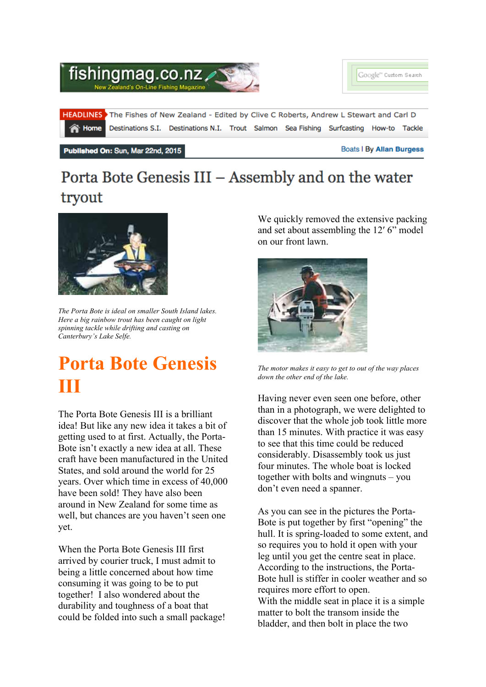

## Porta Bote Genesis III - Assembly and on the water tryout



*The Porta Bote is ideal on smaller South Island lakes. Here a big rainbow trout has been caught on light spinning tackle while drifting and casting on Canterbury's Lake Selfe.*

## **Porta Bote Genesis III**

The Porta Bote Genesis III is a brilliant idea! But like any new idea it takes a bit of getting used to at first. Actually, the Porta-Bote isn't exactly a new idea at all. These craft have been manufactured in the United States, and sold around the world for 25 years. Over which time in excess of 40,000 have been sold! They have also been around in New Zealand for some time as well, but chances are you haven't seen one yet.

When the Porta Bote Genesis III first arrived by courier truck, I must admit to being a little concerned about how time consuming it was going to be to put together! I also wondered about the durability and toughness of a boat that could be folded into such a small package! We quickly removed the extensive packing and set about assembling the 12′ 6" model on our front lawn.



*The motor makes it easy to get to out of the way places down the other end of the lake.*

Having never even seen one before, other than in a photograph, we were delighted to discover that the whole job took little more than 15 minutes. With practice it was easy to see that this time could be reduced considerably. Disassembly took us just four minutes. The whole boat is locked together with bolts and wingnuts – you don't even need a spanner.

As you can see in the pictures the Porta-Bote is put together by first "opening" the hull. It is spring-loaded to some extent, and so requires you to hold it open with your leg until you get the centre seat in place. According to the instructions, the Porta-Bote hull is stiffer in cooler weather and so requires more effort to open. With the middle seat in place it is a simple matter to bolt the transom inside the bladder, and then bolt in place the two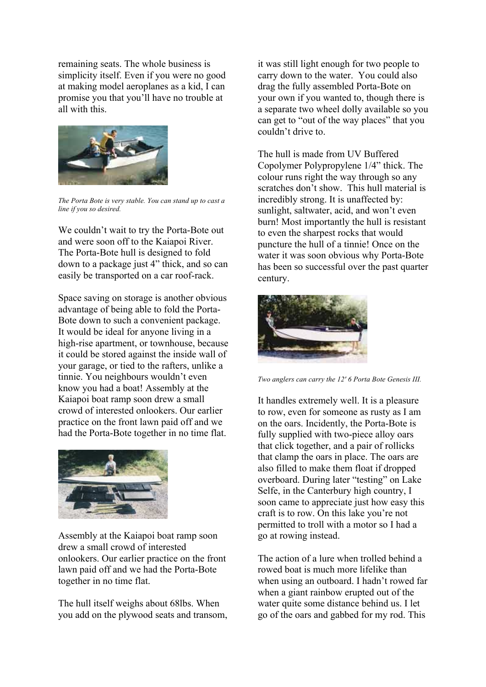remaining seats. The whole business is simplicity itself. Even if you were no good at making model aeroplanes as a kid, I can promise you that you'll have no trouble at all with this.



*The Porta Bote is very stable. You can stand up to cast a line if you so desired.*

We couldn't wait to try the Porta-Bote out and were soon off to the Kaiapoi River. The Porta-Bote hull is designed to fold down to a package just 4" thick, and so can easily be transported on a car roof-rack.

Space saving on storage is another obvious advantage of being able to fold the Porta-Bote down to such a convenient package. It would be ideal for anyone living in a high-rise apartment, or townhouse, because it could be stored against the inside wall of your garage, or tied to the rafters, unlike a tinnie. You neighbours wouldn't even know you had a boat! Assembly at the Kaiapoi boat ramp soon drew a small crowd of interested onlookers. Our earlier practice on the front lawn paid off and we had the Porta-Bote together in no time flat.



Assembly at the Kaiapoi boat ramp soon drew a small crowd of interested onlookers. Our earlier practice on the front lawn paid off and we had the Porta-Bote together in no time flat.

The hull itself weighs about 68lbs. When you add on the plywood seats and transom, it was still light enough for two people to carry down to the water. You could also drag the fully assembled Porta-Bote on your own if you wanted to, though there is a separate two wheel dolly available so you can get to "out of the way places" that you couldn't drive to.

The hull is made from UV Buffered Copolymer Polypropylene 1/4" thick. The colour runs right the way through so any scratches don't show. This hull material is incredibly strong. It is unaffected by: sunlight, saltwater, acid, and won't even burn! Most importantly the hull is resistant to even the sharpest rocks that would puncture the hull of a tinnie! Once on the water it was soon obvious why Porta-Bote has been so successful over the past quarter century.



*Two anglers can carry the 12′ 6 Porta Bote Genesis III.*

It handles extremely well. It is a pleasure to row, even for someone as rusty as I am on the oars. Incidently, the Porta-Bote is fully supplied with two-piece alloy oars that click together, and a pair of rollicks that clamp the oars in place. The oars are also filled to make them float if dropped overboard. During later "testing" on Lake Selfe, in the Canterbury high country, I soon came to appreciate just how easy this craft is to row. On this lake you're not permitted to troll with a motor so I had a go at rowing instead.

The action of a lure when trolled behind a rowed boat is much more lifelike than when using an outboard. I hadn't rowed far when a giant rainbow erupted out of the water quite some distance behind us. I let go of the oars and gabbed for my rod. This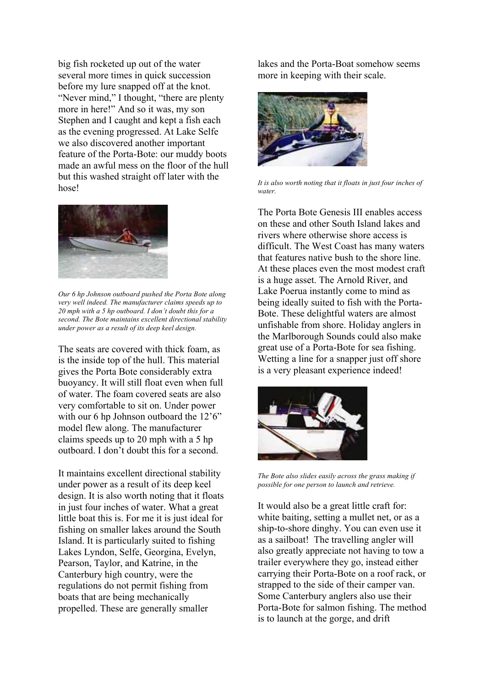big fish rocketed up out of the water several more times in quick succession before my lure snapped off at the knot. "Never mind," I thought, "there are plenty more in here!" And so it was, my son Stephen and I caught and kept a fish each as the evening progressed. At Lake Selfe we also discovered another important feature of the Porta-Bote: our muddy boots made an awful mess on the floor of the hull but this washed straight off later with the hose!



*Our 6 hp Johnson outboard pushed the Porta Bote along very well indeed. The manufacturer claims speeds up to 20 mph with a 5 hp outboard. I don't doubt this for a second. The Bote maintains excellent directional stability under power as a result of its deep keel design.*

The seats are covered with thick foam, as is the inside top of the hull. This material gives the Porta Bote considerably extra buoyancy. It will still float even when full of water. The foam covered seats are also very comfortable to sit on. Under power with our 6 hp Johnson outboard the 12'6" model flew along. The manufacturer claims speeds up to 20 mph with a 5 hp outboard. I don't doubt this for a second.

It maintains excellent directional stability under power as a result of its deep keel design. It is also worth noting that it floats in just four inches of water. What a great little boat this is. For me it is just ideal for fishing on smaller lakes around the South Island. It is particularly suited to fishing Lakes Lyndon, Selfe, Georgina, Evelyn, Pearson, Taylor, and Katrine, in the Canterbury high country, were the regulations do not permit fishing from boats that are being mechanically propelled. These are generally smaller

lakes and the Porta-Boat somehow seems more in keeping with their scale.



*It is also worth noting that it floats in just four inches of water.*

The Porta Bote Genesis III enables access on these and other South Island lakes and rivers where otherwise shore access is difficult. The West Coast has many waters that features native bush to the shore line. At these places even the most modest craft is a huge asset. The Arnold River, and Lake Poerua instantly come to mind as being ideally suited to fish with the Porta-Bote. These delightful waters are almost unfishable from shore. Holiday anglers in the Marlborough Sounds could also make great use of a Porta-Bote for sea fishing. Wetting a line for a snapper just off shore is a very pleasant experience indeed!



*The Bote also slides easily across the grass making if possible for one person to launch and retrieve.*

It would also be a great little craft for: white baiting, setting a mullet net, or as a ship-to-shore dinghy. You can even use it as a sailboat! The travelling angler will also greatly appreciate not having to tow a trailer everywhere they go, instead either carrying their Porta-Bote on a roof rack, or strapped to the side of their camper van. Some Canterbury anglers also use their Porta-Bote for salmon fishing. The method is to launch at the gorge, and drift